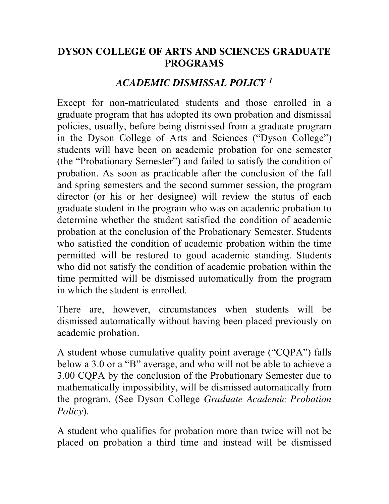## **DYSON COLLEGE OF ARTS AND SCIENCES GRADUATE PROGRAMS**

## *ACADEMIC DISMISSAL POLICY 1*

Except for non-matriculated students and those enrolled in a graduate program that has adopted its own probation and dismissal policies, usually, before being dismissed from a graduate program in the Dyson College of Arts and Sciences ("Dyson College") students will have been on academic probation for one semester (the "Probationary Semester") and failed to satisfy the condition of probation. As soon as practicable after the conclusion of the fall and spring semesters and the second summer session, the program director (or his or her designee) will review the status of each graduate student in the program who was on academic probation to determine whether the student satisfied the condition of academic probation at the conclusion of the Probationary Semester. Students who satisfied the condition of academic probation within the time permitted will be restored to good academic standing. Students who did not satisfy the condition of academic probation within the time permitted will be dismissed automatically from the program in which the student is enrolled.

There are, however, circumstances when students will be dismissed automatically without having been placed previously on academic probation.

A student whose cumulative quality point average ("CQPA") falls below a 3.0 or a "B" average, and who will not be able to achieve a 3.00 CQPA by the conclusion of the Probationary Semester due to mathematically impossibility, will be dismissed automatically from the program. (See Dyson College *Graduate Academic Probation Policy*).

A student who qualifies for probation more than twice will not be placed on probation a third time and instead will be dismissed